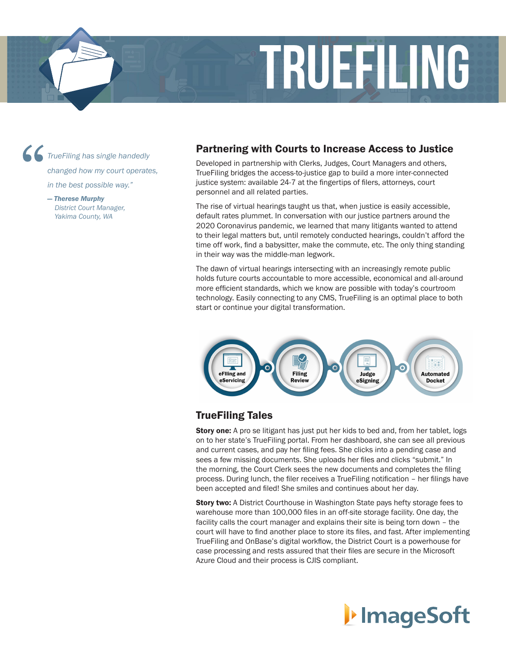

*TrueFiling has single handedly changed how my court operates,* 

*in the best possible way."*

*— Therese Murphy District Court Manager, Yakima County, WA*

#### Partnering with Courts to Increase Access to Justice

Developed in partnership with Clerks, Judges, Court Managers and others, TrueFiling bridges the access-to-justice gap to build a more inter-connected justice system: available 24-7 at the fingertips of filers, attorneys, court personnel and all related parties.

The rise of virtual hearings taught us that, when justice is easily accessible, default rates plummet. In conversation with our justice partners around the 2020 Coronavirus pandemic, we learned that many litigants wanted to attend to their legal matters but, until remotely conducted hearings, couldn't afford the time off work, find a babysitter, make the commute, etc. The only thing standing in their way was the middle-man legwork.

The dawn of virtual hearings intersecting with an increasingly remote public holds future courts accountable to more accessible, economical and all-around more efficient standards, which we know are possible with today's courtroom technology. Easily connecting to any CMS, TrueFiling is an optimal place to both start or continue your digital transformation.



# TrueFiling Tales

**Story one:** A pro se litigant has just put her kids to bed and, from her tablet, logs on to her state's TrueFiling portal. From her dashboard, she can see all previous and current cases, and pay her filing fees. She clicks into a pending case and sees a few missing documents. She uploads her files and clicks "submit." In the morning, the Court Clerk sees the new documents and completes the filing process. During lunch, the filer receives a TrueFiling notification – her filings have been accepted and filed! She smiles and continues about her day.

Story two: A District Courthouse in Washington State pays hefty storage fees to warehouse more than 100,000 files in an off-site storage facility. One day, the facility calls the court manager and explains their site is being torn down – the court will have to find another place to store its files, and fast. After implementing TrueFiling and OnBase's digital workflow, the District Court is a powerhouse for case processing and rests assured that their files are secure in the Microsoft Azure Cloud and their process is CJIS compliant.